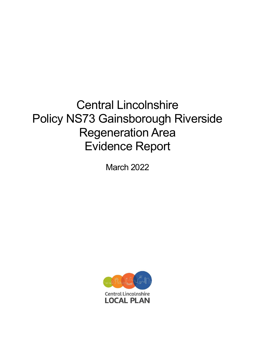# Central Lincolnshire Policy NS73 Gainsborough Riverside Regeneration Area Evidence Report

March 2022

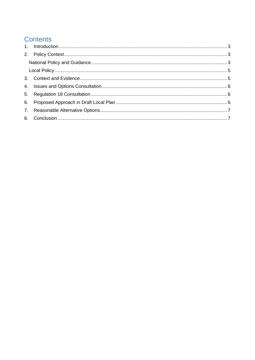# **Contents**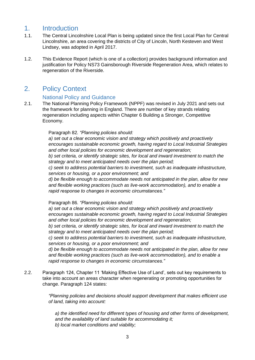## <span id="page-2-0"></span>1. Introduction

- 1.1. The Central Lincolnshire Local Plan is being updated since the first Local Plan for Central Lincolnshire, an area covering the districts of City of Lincoln, North Kesteven and West Lindsey, was adopted in April 2017.
- 1.2. This Evidence Report (which is one of a collection) provides background information and justification for Policy NS73 Gainsborough Riverside Regeneration Area, which relates to regeneration of the Riverside.

# <span id="page-2-1"></span>2. Policy Context

#### National Policy and Guidance

<span id="page-2-2"></span>2.1. The National Planning Policy Framework (NPPF) was revised in July 2021 and sets out the framework for planning in England. There are number of key strands relating regeneration including aspects within Chapter 6 Building a Stronger, Competitive Economy.

#### Paragraph 82*. "Planning policies should:*

*a) set out a clear economic vision and strategy which positively and proactively encourages sustainable economic growth, having regard to Local Industrial Strategies and other local policies for economic development and regeneration;* 

*b) set criteria, or identify strategic sites, for local and inward investment to match the strategy and to meet anticipated needs over the plan period;* 

*c) seek to address potential barriers to investment, such as inadequate infrastructure, services or housing, or a poor environment; and* 

*d) be flexible enough to accommodate needs not anticipated in the plan, allow for new and flexible working practices (such as live-work accommodation), and to enable a rapid response to changes in economic circumstances."* 

Paragraph 86. *"Planning policies should:* 

*a) set out a clear economic vision and strategy which positively and proactively encourages sustainable economic growth, having regard to Local Industrial Strategies and other local policies for economic development and regeneration;* 

*b) set criteria, or identify strategic sites, for local and inward investment to match the strategy and to meet anticipated needs over the plan period;* 

*c) seek to address potential barriers to investment, such as inadequate infrastructure, services or housing, or a poor environment; and* 

*d) be flexible enough to accommodate needs not anticipated in the plan, allow for new and flexible working practices (such as live-work accommodation), and to enable a rapid response to changes in economic circumstances."*

2.2. Paragraph 124, Chapter 11 'Making Effective Use of Land', sets out key requirements to take into account an areas character when regenerating or promoting opportunities for change. Paragraph 124 states:

> *"Planning policies and decisions should support development that makes efficient use of land, taking into account:*

*a) the identified need for different types of housing and other forms of development, and the availability of land suitable for accommodating it; b) local market conditions and viability;*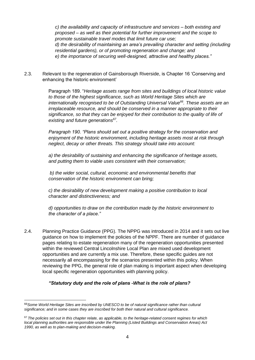*c) the availability and capacity of infrastructure and services – both existing and proposed – as well as their potential for further improvement and the scope to promote sustainable travel modes that limit future car use; d) the desirability of maintaining an area's prevailing character and setting (including residential gardens), or of promoting regeneration and change; and e) the importance of securing well-designed, attractive and healthy places."*

2.3. Relevant to the regeneration of Gainsborough Riverside, is Chapter 16 'Conserving and enhancing the historic environment'

> Paragraph 189. "*Heritage assets range from sites and buildings of local historic value to those of the highest significance, such as World Heritage Sites which are internationally recognised to be of Outstanding Universal Value<sup>66</sup>. These assets are an irreplaceable resource, and should be conserved in a manner appropriate to their significance, so that they can be enjoyed for their contribution to the quality of life of existing and future generations<sup>67</sup> .*

*Paragraph 190. "Plans should set out a positive strategy for the conservation and enjoyment of the historic environment, including heritage assets most at risk through neglect, decay or other threats. This strategy should take into account:* 

*a) the desirability of sustaining and enhancing the significance of heritage assets, and putting them to viable uses consistent with their conservation;* 

*b) the wider social, cultural, economic and environmental benefits that conservation of the historic environment can bring;* 

*c) the desirability of new development making a positive contribution to local character and distinctiveness; and* 

*d) opportunities to draw on the contribution made by the historic environment to the character of a place."*

2.4. Planning Practice Guidance (PPG). The NPPG was introduced in 2014 and it sets out live guidance on how to implement the policies of the NPPF. There are number of guidance pages relating to estate regeneration many of the regeneration opportunities presented within the reviewed Central Lincolnshire Local Plan are mixed used development opportunities and are currently a mix use. Therefore, these specific guides are not necessarily all encompassing for the scenarios presented within this policy. When reviewing the PPG, the general role of plan making is important aspect when developing local specific regeneration opportunities with planning policy.

#### *"Statutory duty and the role of plans -What is the role of plans?*

<sup>66</sup>*Some World Heritage Sites are inscribed by UNESCO to be of natural significance rather than cultural significance; and in some cases they are inscribed for both their natural and cultural significance.* 

<sup>67</sup>*The policies set out in this chapter relate, as applicable, to the heritage-related consent regimes for which local planning authorities are responsible under the Planning (Listed Buildings and Conservation Areas) Act 1990, as well as to plan-making and decision-making.*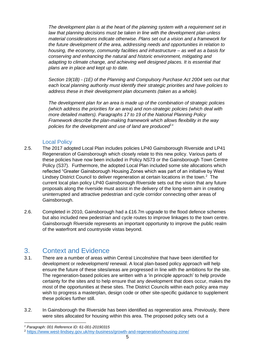*The development plan is at the heart of the planning system with a requirement set in law that planning decisions must be taken in line with the development plan unless material considerations indicate otherwise. Plans set out a vision and a framework for the future development of the area, addressing needs and opportunities in relation to housing, the economy, community facilities and infrastructure – as well as a basis for conserving and enhancing the natural and historic environment, mitigating and adapting to climate change, and achieving well designed places. It is essential that plans are in place and kept up to date.*

*Section 19(1B) - (1E) of the Planning and Compulsory Purchase Act 2004 sets out that each local planning authority must identify their strategic priorities and have policies to address these in their development plan documents (taken as a whole).*

*The development plan for an area is made up of the combination of strategic policies (which address the priorities for an area) and non-strategic policies (which deal with more detailed matters). Paragraphs 17 to 19 of the National Planning Policy Framework describe the plan-making framework which allows flexibility in the way policies for the development and use of land are produced<sup>1</sup> "*

#### Local Policy

- <span id="page-4-0"></span>2.5. The 2017 adopted Local Plan includes policies LP40 Gainsborough Riverside and LP41 Regeneration of Gainsborough which closely relate to this new policy. Various parts of these policies have now been included in Policy NS73 or the Gainsborough Town Centre Policy (S37). Furthermore, the adopted Local Plan included some site allocations which reflected "Greater Gainsborough Housing Zones which was part of an initiative by West Lindsey District Council to deliver regeneration at certain locations in the town.<sup>2</sup> The current local plan policy LP40 Gainsborough Riverside sets out the vision that any future proposals along the riverside must assist in the delivery of the long-term aim in creating uninterrupted and attractive pedestrian and cycle corridor connecting other areas of Gainsborough.
- 2.6. Completed in 2010, Gainsborough had a £16.7m upgrade to the flood defence schemes but also included new pedestrian and cycle routes to improve linkages to the town centre. Gainsborough Riverside represents an important opportunity to improve the public realm of the waterfront and countryside vistas beyond.

# <span id="page-4-1"></span>3. Context and Evidence

- 3.1. There are a number of areas within Central Lincolnshire that have been identified for development or redevelopment/ renewal. A local plan-based policy approach will help ensure the future of these sites/areas are progressed in line with the ambitions for the site. The regeneration-based policies are written with a 'in principle approach' to help provide certainty for the sites and to help ensure that any development that does occur, makes the most of the opportunities at these sites. The District Councils within each policy area may wish to progress a masterplan, design code or other site-specific guidance to supplement these policies further still.
- 3.2. In Gainsborough the Riverside has been identified as regeneration area. Previously, there were sites allocated for housing within this area. The proposed policy sets out a

*<sup>1</sup> Paragraph: 001 Reference ID: 61-001-20190315*

<sup>2</sup> <https://www.west-lindsey.gov.uk/my-business/growth-and-regeneration/housing-zone/>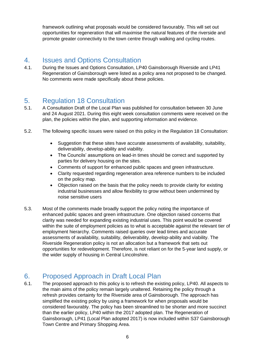framework outlining what proposals would be considered favourably. This will set out opportunities for regeneration that will maximise the natural features of the riverside and promote greater connectivity to the town centre through walking and cycling routes.

# <span id="page-5-0"></span>4. Issues and Options Consultation

4.1. During the Issues and Options Consultation, LP40 Gainsborough Riverside and LP41 Regeneration of Gainsborough were listed as a policy area not proposed to be changed. No comments were made specifically about these policies.

# <span id="page-5-1"></span>5. Regulation 18 Consultation

- 5.1. A Consultation Draft of the Local Plan was published for consultation between 30 June and 24 August 2021. During this eight week consultation comments were received on the plan, the policies within the plan, and supporting information and evidence.
- 5.2. The following specific issues were raised on this policy in the Regulation 18 Consultation:
	- Suggestion that these sites have accurate assessments of availability, suitability, deliverability, develop-ability and viability.
	- The Councils' assumptions on lead-in times should be correct and supported by parties for delivery housing on the sites.
	- Comments of support for enhanced public spaces and green infrastructure.
	- Clarity requested regarding regeneration area reference numbers to be included on the policy map.
	- Objection raised on the basis that the policy needs to provide clarity for existing industrial businesses and allow flexibility to grow without been undermined by noise sensitive users
- 5.3. Most of the comments made broadly support the policy noting the importance of enhanced public spaces and green infrastructure. One objection raised concerns that clarity was needed for expanding existing industrial uses. This point would be covered within the suite of employment policies as to what is acceptable against the relevant tier of employment hierarchy. Comments raised queries over lead times and accurate assessments of availability, suitability, deliverability, develop-ability and viability. The Riverside Regeneration policy is not an allocation but a framework that sets out opportunities for redevelopment. Therefore, is not reliant on for the 5-year land supply, or the wider supply of housing in Central Lincolnshire.

# <span id="page-5-2"></span>6. Proposed Approach in Draft Local Plan

6.1. The proposed approach to this policy is to refresh the existing policy, LP40. All aspects to the main aims of the policy remain largely unaltered. Retaining the policy through a refresh provides certainty for the Riverside area of Gainsborough. The approach has simplified the existing policy by using a framework for when proposals would be considered favourably. The policy has been streamlined to be shorter and more succinct than the earlier policy, LP40 within the 2017 adopted plan. The Regeneration of Gainsborough, LP41 (Local Plan adopted 2017) is now included within S37 Gainsborough Town Centre and Primary Shopping Area.